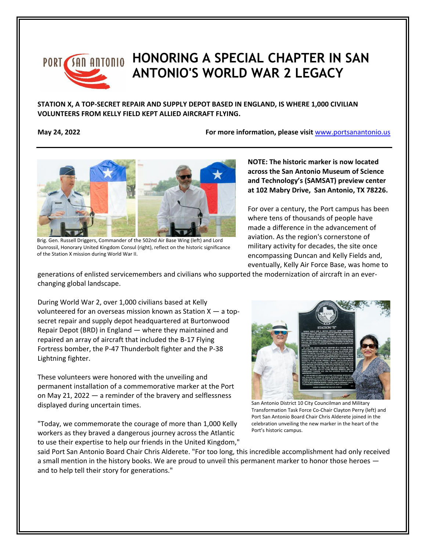

## PORT **SAN ANTONIO HONORING A SPECIAL CHAPTER IN SAN ANTONIO'S WORLD WAR 2 LEGACY**

**STATION X, A TOP-SECRET REPAIR AND SUPPLY DEPOT BASED IN ENGLAND, IS WHERE 1,000 CIVILIAN VOLUNTEERS FROM KELLY FIELD KEPT ALLIED AIRCRAFT FLYING.**

**May 24, 2022** *May 24, 2022 May 24, 2022* **<b>***For more information, please visit [www.portsanantonio.us](http://www.portsanantonio.us/innovation)* 



Brig. Gen. Russell Driggers, Commander of the 502nd Air Base Wing (left) and Lord Dunrossil, Honorary United Kingdom Consul (right), reflect on the historic significance of the Station X mission during World War II.

**NOTE: The historic marker is now located across the San Antonio Museum of Science and Technology's (SAMSAT) preview center at 102 Mabry Drive, San Antonio, TX 78226.** 

For over a century, the Port campus has been where tens of thousands of people have made a difference in the advancement of aviation. As the region's cornerstone of military activity for decades, the site once encompassing Duncan and Kelly Fields and, eventually, Kelly Air Force Base, was home to

generations of enlisted servicemembers and civilians who supported the modernization of aircraft in an everchanging global landscape.

During World War 2, over 1,000 civilians based at Kelly volunteered for an overseas mission known as Station  $X - a$  topsecret repair and supply depot headquartered at Burtonwood Repair Depot (BRD) in England — where they maintained and repaired an array of aircraft that included the B-17 Flying Fortress bomber, the P-47 Thunderbolt fighter and the P-38 Lightning fighter.

These volunteers were honored with the unveiling and permanent installation of a commemorative marker at the Port on May 21, 2022 — a reminder of the bravery and selflessness displayed during uncertain times.

"Today, we commemorate the courage of more than 1,000 Kelly workers as they braved a dangerous journey across the Atlantic to use their expertise to help our friends in the United Kingdom,"



San Antonio District 10 City Councilman and Military Transformation Task Force Co-Chair Clayton Perry (left) and Port San Antonio Board Chair Chris Alderete joined in the celebration unveiling the new marker in the heart of the Port's historic campus.

said Port San Antonio Board Chair Chris Alderete. "For too long, this incredible accomplishment had only received a small mention in the history books. We are proud to unveil this permanent marker to honor those heroes and to help tell their story for generations."